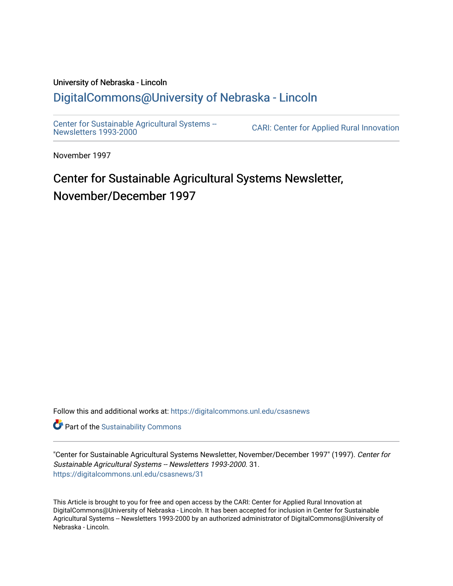#### University of Nebraska - Lincoln [DigitalCommons@University of Nebraska - Lincoln](https://digitalcommons.unl.edu/)

[Center for Sustainable Agricultural Systems --](https://digitalcommons.unl.edu/csasnews)<br>Newsletters 1993-2000

CARI: Center for Applied Rural Innovation

November 1997

## Center for Sustainable Agricultural Systems Newsletter, November/December 1997

Follow this and additional works at: [https://digitalcommons.unl.edu/csasnews](https://digitalcommons.unl.edu/csasnews?utm_source=digitalcommons.unl.edu%2Fcsasnews%2F31&utm_medium=PDF&utm_campaign=PDFCoverPages) 

**Part of the [Sustainability Commons](http://network.bepress.com/hgg/discipline/1031?utm_source=digitalcommons.unl.edu%2Fcsasnews%2F31&utm_medium=PDF&utm_campaign=PDFCoverPages)** 

"Center for Sustainable Agricultural Systems Newsletter, November/December 1997" (1997). Center for Sustainable Agricultural Systems -- Newsletters 1993-2000. 31. [https://digitalcommons.unl.edu/csasnews/31](https://digitalcommons.unl.edu/csasnews/31?utm_source=digitalcommons.unl.edu%2Fcsasnews%2F31&utm_medium=PDF&utm_campaign=PDFCoverPages) 

This Article is brought to you for free and open access by the CARI: Center for Applied Rural Innovation at DigitalCommons@University of Nebraska - Lincoln. It has been accepted for inclusion in Center for Sustainable Agricultural Systems -- Newsletters 1993-2000 by an authorized administrator of DigitalCommons@University of Nebraska - Lincoln.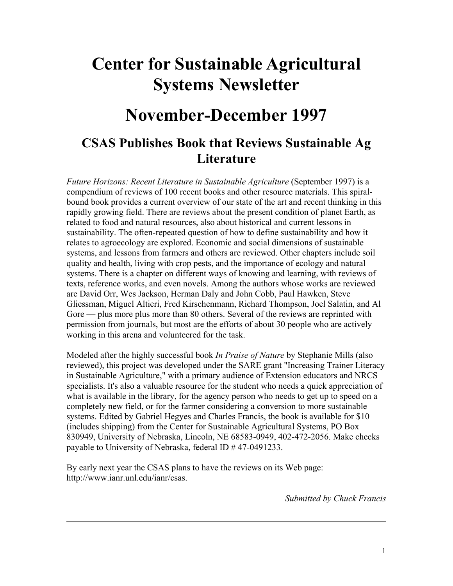# **Center for Sustainable Agricultural Systems Newsletter**

## **November-December 1997**

#### **CSAS Publishes Book that Reviews Sustainable Ag Literature**

*Future Horizons: Recent Literature in Sustainable Agriculture* (September 1997) is a compendium of reviews of 100 recent books and other resource materials. This spiralbound book provides a current overview of our state of the art and recent thinking in this rapidly growing field. There are reviews about the present condition of planet Earth, as related to food and natural resources, also about historical and current lessons in sustainability. The often-repeated question of how to define sustainability and how it relates to agroecology are explored. Economic and social dimensions of sustainable systems, and lessons from farmers and others are reviewed. Other chapters include soil quality and health, living with crop pests, and the importance of ecology and natural systems. There is a chapter on different ways of knowing and learning, with reviews of texts, reference works, and even novels. Among the authors whose works are reviewed are David Orr, Wes Jackson, Herman Daly and John Cobb, Paul Hawken, Steve Gliessman, Miguel Altieri, Fred Kirschenmann, Richard Thompson, Joel Salatin, and Al Gore — plus more plus more than 80 others. Several of the reviews are reprinted with permission from journals, but most are the efforts of about 30 people who are actively working in this arena and volunteered for the task.

Modeled after the highly successful book *In Praise of Nature* by Stephanie Mills (also reviewed), this project was developed under the SARE grant "Increasing Trainer Literacy in Sustainable Agriculture," with a primary audience of Extension educators and NRCS specialists. It's also a valuable resource for the student who needs a quick appreciation of what is available in the library, for the agency person who needs to get up to speed on a completely new field, or for the farmer considering a conversion to more sustainable systems. Edited by Gabriel Hegyes and Charles Francis, the book is available for \$10 (includes shipping) from the Center for Sustainable Agricultural Systems, PO Box 830949, University of Nebraska, Lincoln, NE 68583-0949, 402-472-2056. Make checks payable to University of Nebraska, federal ID # 47-0491233.

By early next year the CSAS plans to have the reviews on its Web page: http://www.ianr.unl.edu/ianr/csas.

*Submitted by Chuck Francis*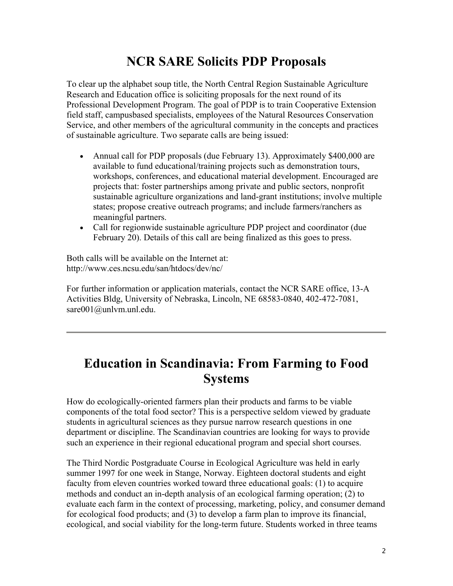### **NCR SARE Solicits PDP Proposals**

To clear up the alphabet soup title, the North Central Region Sustainable Agriculture Research and Education office is soliciting proposals for the next round of its Professional Development Program. The goal of PDP is to train Cooperative Extension field staff, campusbased specialists, employees of the Natural Resources Conservation Service, and other members of the agricultural community in the concepts and practices of sustainable agriculture. Two separate calls are being issued:

- Annual call for PDP proposals (due February 13). Approximately \$400,000 are available to fund educational/training projects such as demonstration tours, workshops, conferences, and educational material development. Encouraged are projects that: foster partnerships among private and public sectors, nonprofit sustainable agriculture organizations and land-grant institutions; involve multiple states; propose creative outreach programs; and include farmers/ranchers as meaningful partners.
- Call for regionwide sustainable agriculture PDP project and coordinator (due) February 20). Details of this call are being finalized as this goes to press.

Both calls will be available on the Internet at: http://www.ces.ncsu.edu/san/htdocs/dev/nc/

For further information or application materials, contact the NCR SARE office, 13-A Activities Bldg, University of Nebraska, Lincoln, NE 68583-0840, 402-472-7081, sare001@unlvm.unl.edu.

#### **Education in Scandinavia: From Farming to Food Systems**

How do ecologically-oriented farmers plan their products and farms to be viable components of the total food sector? This is a perspective seldom viewed by graduate students in agricultural sciences as they pursue narrow research questions in one department or discipline. The Scandinavian countries are looking for ways to provide such an experience in their regional educational program and special short courses.

The Third Nordic Postgraduate Course in Ecological Agriculture was held in early summer 1997 for one week in Stange, Norway. Eighteen doctoral students and eight faculty from eleven countries worked toward three educational goals: (1) to acquire methods and conduct an in-depth analysis of an ecological farming operation; (2) to evaluate each farm in the context of processing, marketing, policy, and consumer demand for ecological food products; and (3) to develop a farm plan to improve its financial, ecological, and social viability for the long-term future. Students worked in three teams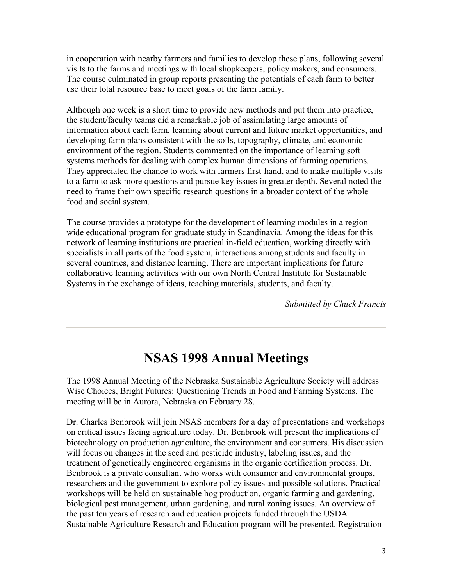in cooperation with nearby farmers and families to develop these plans, following several visits to the farms and meetings with local shopkeepers, policy makers, and consumers. The course culminated in group reports presenting the potentials of each farm to better use their total resource base to meet goals of the farm family.

Although one week is a short time to provide new methods and put them into practice, the student/faculty teams did a remarkable job of assimilating large amounts of information about each farm, learning about current and future market opportunities, and developing farm plans consistent with the soils, topography, climate, and economic environment of the region. Students commented on the importance of learning soft systems methods for dealing with complex human dimensions of farming operations. They appreciated the chance to work with farmers first-hand, and to make multiple visits to a farm to ask more questions and pursue key issues in greater depth. Several noted the need to frame their own specific research questions in a broader context of the whole food and social system.

The course provides a prototype for the development of learning modules in a regionwide educational program for graduate study in Scandinavia. Among the ideas for this network of learning institutions are practical in-field education, working directly with specialists in all parts of the food system, interactions among students and faculty in several countries, and distance learning. There are important implications for future collaborative learning activities with our own North Central Institute for Sustainable Systems in the exchange of ideas, teaching materials, students, and faculty.

*Submitted by Chuck Francis* 

#### **NSAS 1998 Annual Meetings**

The 1998 Annual Meeting of the Nebraska Sustainable Agriculture Society will address Wise Choices, Bright Futures: Questioning Trends in Food and Farming Systems. The meeting will be in Aurora, Nebraska on February 28.

Dr. Charles Benbrook will join NSAS members for a day of presentations and workshops on critical issues facing agriculture today. Dr. Benbrook will present the implications of biotechnology on production agriculture, the environment and consumers. His discussion will focus on changes in the seed and pesticide industry, labeling issues, and the treatment of genetically engineered organisms in the organic certification process. Dr. Benbrook is a private consultant who works with consumer and environmental groups, researchers and the government to explore policy issues and possible solutions. Practical workshops will be held on sustainable hog production, organic farming and gardening, biological pest management, urban gardening, and rural zoning issues. An overview of the past ten years of research and education projects funded through the USDA Sustainable Agriculture Research and Education program will be presented. Registration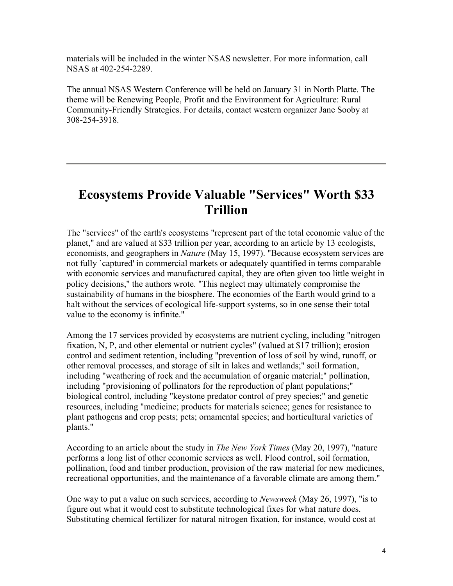materials will be included in the winter NSAS newsletter. For more information, call NSAS at 402-254-2289.

The annual NSAS Western Conference will be held on January 31 in North Platte. The theme will be Renewing People, Profit and the Environment for Agriculture: Rural Community-Friendly Strategies. For details, contact western organizer Jane Sooby at 308-254-3918.

#### **Ecosystems Provide Valuable "Services" Worth \$33 Trillion**

The "services" of the earth's ecosystems "represent part of the total economic value of the planet," and are valued at \$33 trillion per year, according to an article by 13 ecologists, economists, and geographers in *Nature* (May 15, 1997). "Because ecosystem services are not fully `captured' in commercial markets or adequately quantified in terms comparable with economic services and manufactured capital, they are often given too little weight in policy decisions," the authors wrote. "This neglect may ultimately compromise the sustainability of humans in the biosphere. The economies of the Earth would grind to a halt without the services of ecological life-support systems, so in one sense their total value to the economy is infinite."

Among the 17 services provided by ecosystems are nutrient cycling, including "nitrogen fixation, N, P, and other elemental or nutrient cycles" (valued at \$17 trillion); erosion control and sediment retention, including "prevention of loss of soil by wind, runoff, or other removal processes, and storage of silt in lakes and wetlands;" soil formation, including "weathering of rock and the accumulation of organic material;" pollination, including "provisioning of pollinators for the reproduction of plant populations;" biological control, including "keystone predator control of prey species;" and genetic resources, including "medicine; products for materials science; genes for resistance to plant pathogens and crop pests; pets; ornamental species; and horticultural varieties of plants."

According to an article about the study in *The New York Times* (May 20, 1997), "nature performs a long list of other economic services as well. Flood control, soil formation, pollination, food and timber production, provision of the raw material for new medicines, recreational opportunities, and the maintenance of a favorable climate are among them."

One way to put a value on such services, according to *Newsweek* (May 26, 1997), "is to figure out what it would cost to substitute technological fixes for what nature does. Substituting chemical fertilizer for natural nitrogen fixation, for instance, would cost at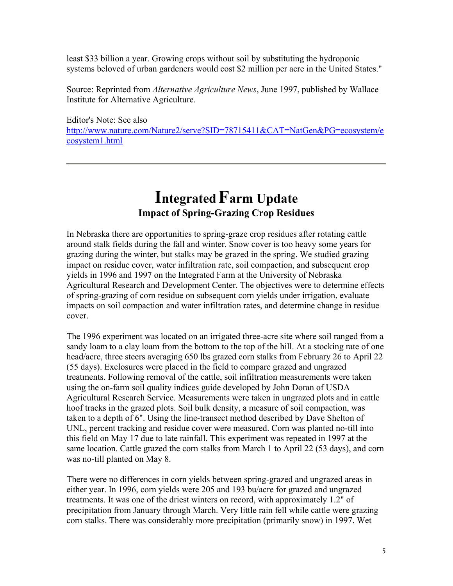least \$33 billion a year. Growing crops without soil by substituting the hydroponic systems beloved of urban gardeners would cost \$2 million per acre in the United States."

Source: Reprinted from *Alternative Agriculture News*, June 1997, published by Wallace Institute for Alternative Agriculture.

Editor's Note: See also http://www.nature.com/Nature2/serve?SID=78715411&CAT=NatGen&PG=ecosystem/e cosystem1.html

### **Integrated Farm Update Impact of Spring-Grazing Crop Residues**

In Nebraska there are opportunities to spring-graze crop residues after rotating cattle around stalk fields during the fall and winter. Snow cover is too heavy some years for grazing during the winter, but stalks may be grazed in the spring. We studied grazing impact on residue cover, water infiltration rate, soil compaction, and subsequent crop yields in 1996 and 1997 on the Integrated Farm at the University of Nebraska Agricultural Research and Development Center. The objectives were to determine effects of spring-grazing of corn residue on subsequent corn yields under irrigation, evaluate impacts on soil compaction and water infiltration rates, and determine change in residue cover.

The 1996 experiment was located on an irrigated three-acre site where soil ranged from a sandy loam to a clay loam from the bottom to the top of the hill. At a stocking rate of one head/acre, three steers averaging 650 lbs grazed corn stalks from February 26 to April 22 (55 days). Exclosures were placed in the field to compare grazed and ungrazed treatments. Following removal of the cattle, soil infiltration measurements were taken using the on-farm soil quality indices guide developed by John Doran of USDA Agricultural Research Service. Measurements were taken in ungrazed plots and in cattle hoof tracks in the grazed plots. Soil bulk density, a measure of soil compaction, was taken to a depth of 6". Using the line-transect method described by Dave Shelton of UNL, percent tracking and residue cover were measured. Corn was planted no-till into this field on May 17 due to late rainfall. This experiment was repeated in 1997 at the same location. Cattle grazed the corn stalks from March 1 to April 22 (53 days), and corn was no-till planted on May 8.

There were no differences in corn yields between spring-grazed and ungrazed areas in either year. In 1996, corn yields were 205 and 193 bu/acre for grazed and ungrazed treatments. It was one of the driest winters on record, with approximately 1.2" of precipitation from January through March. Very little rain fell while cattle were grazing corn stalks. There was considerably more precipitation (primarily snow) in 1997. Wet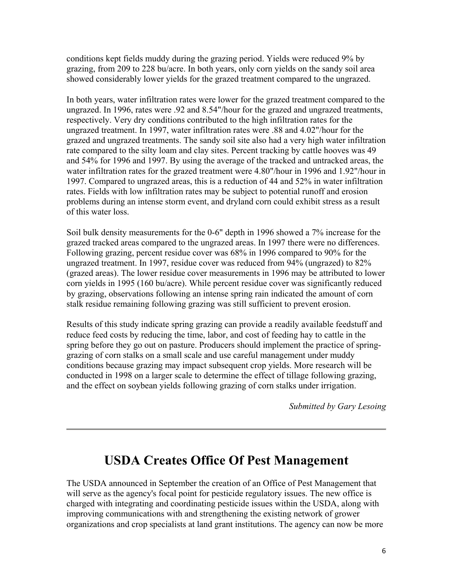conditions kept fields muddy during the grazing period. Yields were reduced 9% by grazing, from 209 to 228 bu/acre. In both years, only corn yields on the sandy soil area showed considerably lower yields for the grazed treatment compared to the ungrazed.

In both years, water infiltration rates were lower for the grazed treatment compared to the ungrazed. In 1996, rates were .92 and 8.54"/hour for the grazed and ungrazed treatments, respectively. Very dry conditions contributed to the high infiltration rates for the ungrazed treatment. In 1997, water infiltration rates were .88 and 4.02"/hour for the grazed and ungrazed treatments. The sandy soil site also had a very high water infiltration rate compared to the silty loam and clay sites. Percent tracking by cattle hooves was 49 and 54% for 1996 and 1997. By using the average of the tracked and untracked areas, the water infiltration rates for the grazed treatment were 4.80"/hour in 1996 and 1.92"/hour in 1997. Compared to ungrazed areas, this is a reduction of 44 and 52% in water infiltration rates. Fields with low infiltration rates may be subject to potential runoff and erosion problems during an intense storm event, and dryland corn could exhibit stress as a result of this water loss.

Soil bulk density measurements for the 0-6" depth in 1996 showed a 7% increase for the grazed tracked areas compared to the ungrazed areas. In 1997 there were no differences. Following grazing, percent residue cover was 68% in 1996 compared to 90% for the ungrazed treatment. In 1997, residue cover was reduced from 94% (ungrazed) to 82% (grazed areas). The lower residue cover measurements in 1996 may be attributed to lower corn yields in 1995 (160 bu/acre). While percent residue cover was significantly reduced by grazing, observations following an intense spring rain indicated the amount of corn stalk residue remaining following grazing was still sufficient to prevent erosion.

Results of this study indicate spring grazing can provide a readily available feedstuff and reduce feed costs by reducing the time, labor, and cost of feeding hay to cattle in the spring before they go out on pasture. Producers should implement the practice of springgrazing of corn stalks on a small scale and use careful management under muddy conditions because grazing may impact subsequent crop yields. More research will be conducted in 1998 on a larger scale to determine the effect of tillage following grazing, and the effect on soybean yields following grazing of corn stalks under irrigation.

*Submitted by Gary Lesoing*

#### **USDA Creates Office Of Pest Management**

The USDA announced in September the creation of an Office of Pest Management that will serve as the agency's focal point for pesticide regulatory issues. The new office is charged with integrating and coordinating pesticide issues within the USDA, along with improving communications with and strengthening the existing network of grower organizations and crop specialists at land grant institutions. The agency can now be more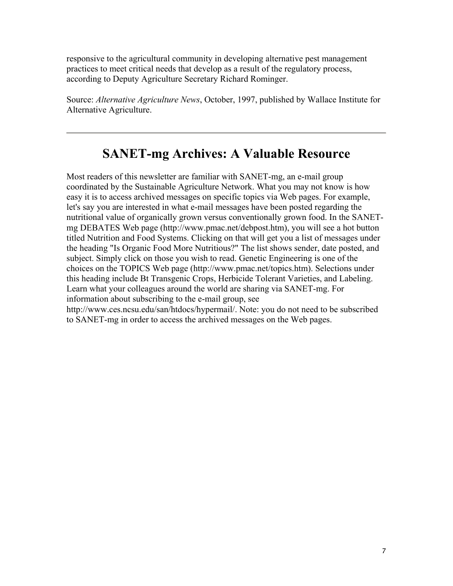responsive to the agricultural community in developing alternative pest management practices to meet critical needs that develop as a result of the regulatory process, according to Deputy Agriculture Secretary Richard Rominger.

Source: *Alternative Agriculture News*, October, 1997, published by Wallace Institute for Alternative Agriculture.

#### **SANET-mg Archives: A Valuable Resource**

Most readers of this newsletter are familiar with SANET-mg, an e-mail group coordinated by the Sustainable Agriculture Network. What you may not know is how easy it is to access archived messages on specific topics via Web pages. For example, let's say you are interested in what e-mail messages have been posted regarding the nutritional value of organically grown versus conventionally grown food. In the SANETmg DEBATES Web page (http://www.pmac.net/debpost.htm), you will see a hot button titled Nutrition and Food Systems. Clicking on that will get you a list of messages under the heading "Is Organic Food More Nutritious?" The list shows sender, date posted, and subject. Simply click on those you wish to read. Genetic Engineering is one of the choices on the TOPICS Web page (http://www.pmac.net/topics.htm). Selections under this heading include Bt Transgenic Crops, Herbicide Tolerant Varieties, and Labeling. Learn what your colleagues around the world are sharing via SANET-mg. For information about subscribing to the e-mail group, see

http://www.ces.ncsu.edu/san/htdocs/hypermail/. Note: you do not need to be subscribed to SANET-mg in order to access the archived messages on the Web pages.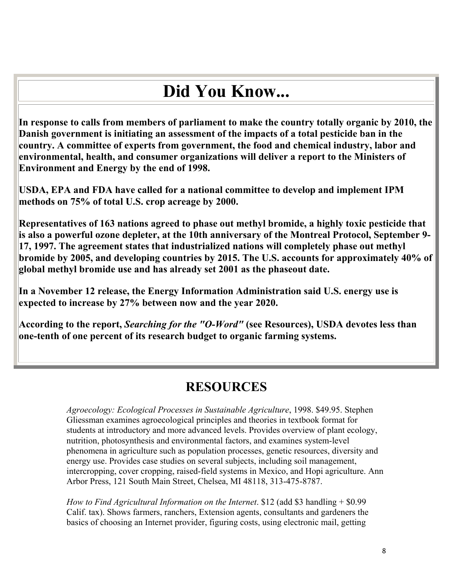# **Did You Know...**

**In response to calls from members of parliament to make the country totally organic by 2010, the Danish government is initiating an assessment of the impacts of a total pesticide ban in the country. A committee of experts from government, the food and chemical industry, labor and environmental, health, and consumer organizations will deliver a report to the Ministers of Environment and Energy by the end of 1998.** 

**USDA, EPA and FDA have called for a national committee to develop and implement IPM methods on 75% of total U.S. crop acreage by 2000.** 

**Representatives of 163 nations agreed to phase out methyl bromide, a highly toxic pesticide that is also a powerful ozone depleter, at the 10th anniversary of the Montreal Protocol, September 9- 17, 1997. The agreement states that industrialized nations will completely phase out methyl bromide by 2005, and developing countries by 2015. The U.S. accounts for approximately 40% of global methyl bromide use and has already set 2001 as the phaseout date.** 

**In a November 12 release, the Energy Information Administration said U.S. energy use is expected to increase by 27% between now and the year 2020.** 

**According to the report,** *Searching for the "O-Word"* **(see Resources), USDA devotes less than one-tenth of one percent of its research budget to organic farming systems.** 

#### **RESOURCES**

*Agroecology: Ecological Processes in Sustainable Agriculture*, 1998. \$49.95. Stephen Gliessman examines agroecological principles and theories in textbook format for students at introductory and more advanced levels. Provides overview of plant ecology, nutrition, photosynthesis and environmental factors, and examines system-level phenomena in agriculture such as population processes, genetic resources, diversity and energy use. Provides case studies on several subjects, including soil management, intercropping, cover cropping, raised-field systems in Mexico, and Hopi agriculture. Ann Arbor Press, 121 South Main Street, Chelsea, MI 48118, 313-475-8787.

*How to Find Agricultural Information on the Internet*. \$12 (add \$3 handling + \$0.99 Calif. tax). Shows farmers, ranchers, Extension agents, consultants and gardeners the basics of choosing an Internet provider, figuring costs, using electronic mail, getting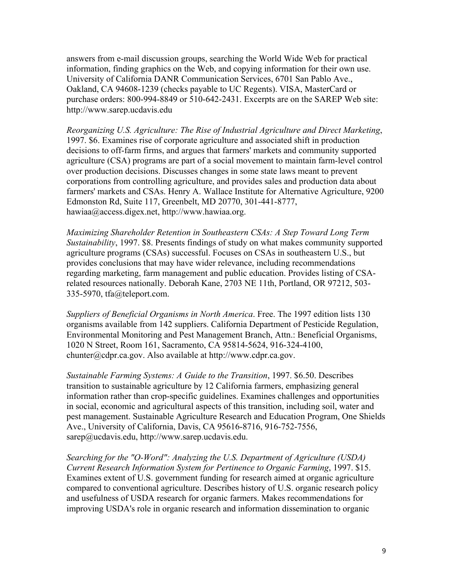answers from e-mail discussion groups, searching the World Wide Web for practical information, finding graphics on the Web, and copying information for their own use. University of California DANR Communication Services, 6701 San Pablo Ave., Oakland, CA 94608-1239 (checks payable to UC Regents). VISA, MasterCard or purchase orders: 800-994-8849 or 510-642-2431. Excerpts are on the SAREP Web site: http://www.sarep.ucdavis.edu

*Reorganizing U.S. Agriculture: The Rise of Industrial Agriculture and Direct Marketing*, 1997. \$6. Examines rise of corporate agriculture and associated shift in production decisions to off-farm firms, and argues that farmers' markets and community supported agriculture (CSA) programs are part of a social movement to maintain farm-level control over production decisions. Discusses changes in some state laws meant to prevent corporations from controlling agriculture, and provides sales and production data about farmers' markets and CSAs. Henry A. Wallace Institute for Alternative Agriculture, 9200 Edmonston Rd, Suite 117, Greenbelt, MD 20770, 301-441-8777, hawiaa@access.digex.net, http://www.hawiaa.org.

*Maximizing Shareholder Retention in Southeastern CSAs: A Step Toward Long Term Sustainability*, 1997. \$8. Presents findings of study on what makes community supported agriculture programs (CSAs) successful. Focuses on CSAs in southeastern U.S., but provides conclusions that may have wider relevance, including recommendations regarding marketing, farm management and public education. Provides listing of CSArelated resources nationally. Deborah Kane, 2703 NE 11th, Portland, OR 97212, 503- 335-5970, tfa@teleport.com.

*Suppliers of Beneficial Organisms in North America*. Free. The 1997 edition lists 130 organisms available from 142 suppliers. California Department of Pesticide Regulation, Environmental Monitoring and Pest Management Branch, Attn.: Beneficial Organisms, 1020 N Street, Room 161, Sacramento, CA 95814-5624, 916-324-4100, chunter@cdpr.ca.gov. Also available at http://www.cdpr.ca.gov.

*Sustainable Farming Systems: A Guide to the Transition*, 1997. \$6.50. Describes transition to sustainable agriculture by 12 California farmers, emphasizing general information rather than crop-specific guidelines. Examines challenges and opportunities in social, economic and agricultural aspects of this transition, including soil, water and pest management. Sustainable Agriculture Research and Education Program, One Shields Ave., University of California, Davis, CA 95616-8716, 916-752-7556, sarep@ucdavis.edu, http://www.sarep.ucdavis.edu.

*Searching for the "O-Word": Analyzing the U.S. Department of Agriculture (USDA) Current Research Information System for Pertinence to Organic Farming*, 1997. \$15. Examines extent of U.S. government funding for research aimed at organic agriculture compared to conventional agriculture. Describes history of U.S. organic research policy and usefulness of USDA research for organic farmers. Makes recommendations for improving USDA's role in organic research and information dissemination to organic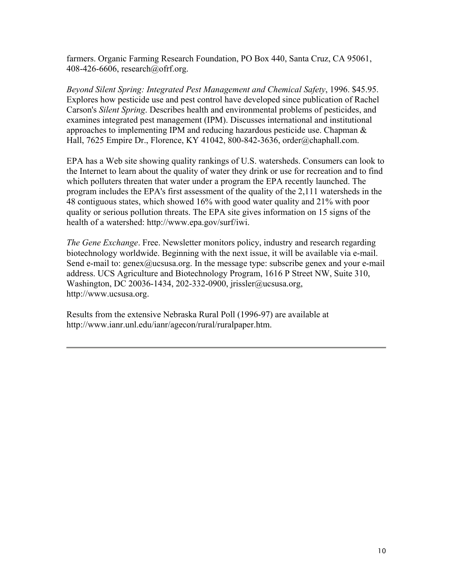farmers. Organic Farming Research Foundation, PO Box 440, Santa Cruz, CA 95061, 408-426-6606, research@ofrf.org.

*Beyond Silent Spring: Integrated Pest Management and Chemical Safety*, 1996. \$45.95. Explores how pesticide use and pest control have developed since publication of Rachel Carson's *Silent Spring*. Describes health and environmental problems of pesticides, and examines integrated pest management (IPM). Discusses international and institutional approaches to implementing IPM and reducing hazardous pesticide use. Chapman & Hall, 7625 Empire Dr., Florence, KY 41042, 800-842-3636, order@chaphall.com.

EPA has a Web site showing quality rankings of U.S. watersheds. Consumers can look to the Internet to learn about the quality of water they drink or use for recreation and to find which polluters threaten that water under a program the EPA recently launched. The program includes the EPA's first assessment of the quality of the 2,111 watersheds in the 48 contiguous states, which showed 16% with good water quality and 21% with poor quality or serious pollution threats. The EPA site gives information on 15 signs of the health of a watershed: http://www.epa.gov/surf/iwi.

*The Gene Exchange*. Free. Newsletter monitors policy, industry and research regarding biotechnology worldwide. Beginning with the next issue, it will be available via e-mail. Send e-mail to: genex@ucsusa.org. In the message type: subscribe genex and your e-mail address. UCS Agriculture and Biotechnology Program, 1616 P Street NW, Suite 310, Washington, DC 20036-1434, 202-332-0900, jrissler@ucsusa.org, http://www.ucsusa.org.

Results from the extensive Nebraska Rural Poll (1996-97) are available at http://www.ianr.unl.edu/ianr/agecon/rural/ruralpaper.htm.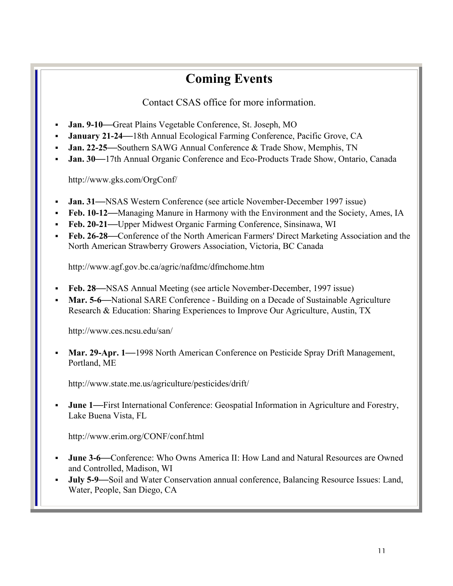## **Coming Events**

Contact CSAS office for more information.

- **Jan. 9-10—**Great Plains Vegetable Conference, St. Joseph, MO
- **January 21-24—**18th Annual Ecological Farming Conference, Pacific Grove, CA
- **Jan. 22-25—**Southern SAWG Annual Conference & Trade Show, Memphis, TN
- **Jan. 30—**17th Annual Organic Conference and Eco-Products Trade Show, Ontario, Canada

http://www.gks.com/OrgConf/

- **Jan. 31—**NSAS Western Conference (see article November-December 1997 issue)
- **Feb. 10-12—**Managing Manure in Harmony with the Environment and the Society, Ames, IA
- **Feb. 20-21—**Upper Midwest Organic Farming Conference, Sinsinawa, WI
- **Feb. 26-28—**Conference of the North American Farmers' Direct Marketing Association and the North American Strawberry Growers Association, Victoria, BC Canada

http://www.agf.gov.bc.ca/agric/nafdmc/dfmchome.htm

- **Feb. 28—**NSAS Annual Meeting (see article November-December, 1997 issue)
- **Mar. 5-6—**National SARE Conference Building on a Decade of Sustainable Agriculture Research & Education: Sharing Experiences to Improve Our Agriculture, Austin, TX

http://www.ces.ncsu.edu/san/

 **Mar. 29-Apr. 1—**1998 North American Conference on Pesticide Spray Drift Management, Portland, ME

http://www.state.me.us/agriculture/pesticides/drift/

 **June 1—**First International Conference: Geospatial Information in Agriculture and Forestry, Lake Buena Vista, FL

http://www.erim.org/CONF/conf.html

- **June 3-6—**Conference: Who Owns America II: How Land and Natural Resources are Owned and Controlled, Madison, WI
- **July 5-9—**Soil and Water Conservation annual conference, Balancing Resource Issues: Land, Water, People, San Diego, CA